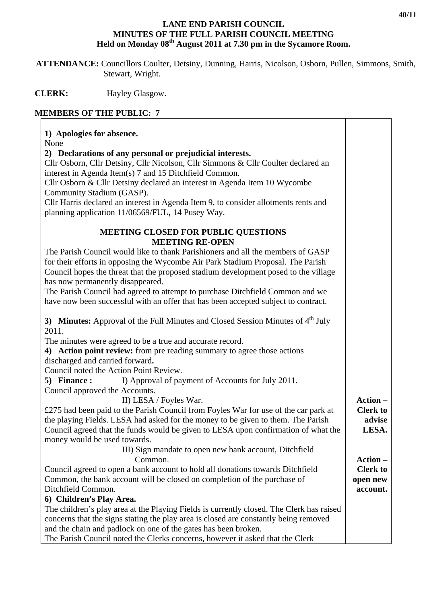## **LANE END PARISH COUNCIL MINUTES OF THE FULL PARISH COUNCIL MEETING**  Held on Monday 08<sup>th</sup> August 2011 at 7.30 pm in the Sycamore Room.

 **ATTENDANCE:** Councillors Coulter, Detsiny, Dunning, Harris, Nicolson, Osborn, Pullen, Simmons, Smith, Stewart, Wright.

**CLERK:** Hayley Glasgow.

## **MEMBERS OF THE PUBLIC: 7**

## **1) Apologies for absence.**  None **2) Declarations of any personal or prejudicial interests.** Cllr Osborn, Cllr Detsiny, Cllr Nicolson, Cllr Simmons & Cllr Coulter declared an interest in Agenda Item(s) 7 and 15 Ditchfield Common. Cllr Osborn & Cllr Detsiny declared an interest in Agenda Item 10 Wycombe Community Stadium (GASP). Cllr Harris declared an interest in Agenda Item 9, to consider allotments rents and planning application 11/06569/FUL**,** 14 Pusey Way. **MEETING CLOSED FOR PUBLIC QUESTIONS MEETING RE-OPEN**  The Parish Council would like to thank Parishioners and all the members of GASP for their efforts in opposing the Wycombe Air Park Stadium Proposal. The Parish Council hopes the threat that the proposed stadium development posed to the village has now permanently disappeared. The Parish Council had agreed to attempt to purchase Ditchfield Common and we have now been successful with an offer that has been accepted subject to contract. **3) Minutes:** Approval of the Full Minutes and Closed Session Minutes of 4<sup>th</sup> July 2011. The minutes were agreed to be a true and accurate record. **4) Action point review:** from pre reading summary to agree those actions discharged and carried forward**.**  Council noted the Action Point Review. **5) Finance :** I) Approval of payment of Accounts for July 2011. Council approved the Accounts. II) LESA / Foyles War. £275 had been paid to the Parish Council from Foyles War for use of the car park at the playing Fields. LESA had asked for the money to be given to them. The Parish Council agreed that the funds would be given to LESA upon confirmation of what the money would be used towards. III) Sign mandate to open new bank account, Ditchfield Common. Council agreed to open a bank account to hold all donations towards Ditchfield Common, the bank account will be closed on completion of the purchase of Ditchfield Common. **6) Children's Play Area.**  The children's play area at the Playing Fields is currently closed. The Clerk has raised concerns that the signs stating the play area is closed are constantly being removed and the chain and padlock on one of the gates has been broken. **Action – Clerk to advise LESA. Action – Clerk to open new account.**

The Parish Council noted the Clerks concerns, however it asked that the Clerk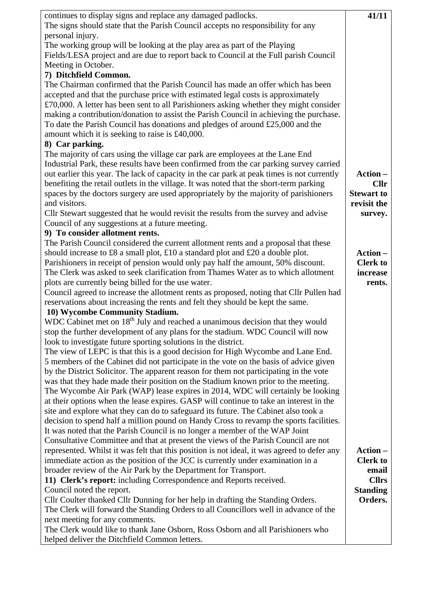| continues to display signs and replace any damaged padlocks.                                | 41/11             |
|---------------------------------------------------------------------------------------------|-------------------|
| The signs should state that the Parish Council accepts no responsibility for any            |                   |
| personal injury.                                                                            |                   |
| The working group will be looking at the play area as part of the Playing                   |                   |
| Fields/LESA project and are due to report back to Council at the Full parish Council        |                   |
| Meeting in October.                                                                         |                   |
| 7) Ditchfield Common.                                                                       |                   |
| The Chairman confirmed that the Parish Council has made an offer which has been             |                   |
| accepted and that the purchase price with estimated legal costs is approximately            |                   |
| $£70,000$ . A letter has been sent to all Parishioners asking whether they might consider   |                   |
| making a contribution/donation to assist the Parish Council in achieving the purchase.      |                   |
|                                                                                             |                   |
| To date the Parish Council has donations and pledges of around £25,000 and the              |                   |
| amount which it is seeking to raise is £40,000.                                             |                   |
| 8) Car parking.                                                                             |                   |
| The majority of cars using the village car park are employees at the Lane End               |                   |
| Industrial Park, these results have been confirmed from the car parking survey carried      |                   |
| out earlier this year. The lack of capacity in the car park at peak times is not currently  | Action -          |
| benefiting the retail outlets in the village. It was noted that the short-term parking      | <b>Cllr</b>       |
| spaces by the doctors surgery are used appropriately by the majority of parishioners        | <b>Stewart to</b> |
| and visitors.                                                                               | revisit the       |
| Cllr Stewart suggested that he would revisit the results from the survey and advise         | survey.           |
| Council of any suggestions at a future meeting.                                             |                   |
| 9) To consider allotment rents.                                                             |                   |
| The Parish Council considered the current allotment rents and a proposal that these         |                   |
| should increase to £8 a small plot, £10 a standard plot and £20 a double plot.              | Action-           |
| Parishioners in receipt of pension would only pay half the amount, 50% discount.            | <b>Clerk to</b>   |
| The Clerk was asked to seek clarification from Thames Water as to which allotment           | increase          |
| plots are currently being billed for the use water.                                         | rents.            |
| Council agreed to increase the allotment rents as proposed, noting that Cllr Pullen had     |                   |
| reservations about increasing the rents and felt they should be kept the same.              |                   |
| 10) Wycombe Community Stadium.                                                              |                   |
| WDC Cabinet met on 18 <sup>th</sup> July and reached a unanimous decision that they would   |                   |
| stop the further development of any plans for the stadium. WDC Council will now             |                   |
| look to investigate future sporting solutions in the district.                              |                   |
| The view of LEPC is that this is a good decision for High Wycombe and Lane End.             |                   |
| 5 members of the Cabinet did not participate in the vote on the basis of advice given       |                   |
| by the District Solicitor. The apparent reason for them not participating in the vote       |                   |
| was that they hade made their position on the Stadium known prior to the meeting.           |                   |
| The Wycombe Air Park (WAP) lease expires in 2014, WDC will certainly be looking             |                   |
| at their options when the lease expires. GASP will continue to take an interest in the      |                   |
| site and explore what they can do to safeguard its future. The Cabinet also took a          |                   |
| decision to spend half a million pound on Handy Cross to revamp the sports facilities.      |                   |
| It was noted that the Parish Council is no longer a member of the WAP Joint                 |                   |
| Consultative Committee and that at present the views of the Parish Council are not          |                   |
| represented. Whilst it was felt that this position is not ideal, it was agreed to defer any | Action –          |
| immediate action as the position of the JCC is currently under examination in a             | <b>Clerk to</b>   |
| broader review of the Air Park by the Department for Transport.                             | email             |
| 11) Clerk's report: including Correspondence and Reports received.                          | <b>Cllrs</b>      |
| Council noted the report.                                                                   | <b>Standing</b>   |
| Cllr Coulter thanked Cllr Dunning for her help in drafting the Standing Orders.             | Orders.           |
| The Clerk will forward the Standing Orders to all Councillors well in advance of the        |                   |
| next meeting for any comments.                                                              |                   |
| The Clerk would like to thank Jane Osborn, Ross Osborn and all Parishioners who             |                   |
| helped deliver the Ditchfield Common letters.                                               |                   |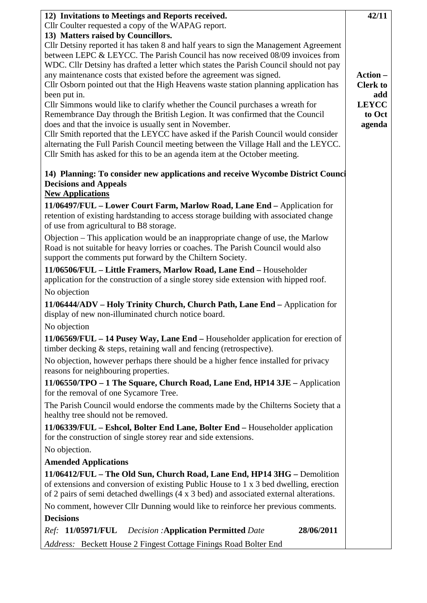| 12) Invitations to Meetings and Reports received.                                                                                                              | 42/11                  |
|----------------------------------------------------------------------------------------------------------------------------------------------------------------|------------------------|
| Cllr Coulter requested a copy of the WAPAG report.                                                                                                             |                        |
| 13) Matters raised by Councillors.<br>Cllr Detsiny reported it has taken 8 and half years to sign the Management Agreement                                     |                        |
| between LEPC & LEYCC. The Parish Council has now received 08/09 invoices from                                                                                  |                        |
| WDC. Cllr Detsiny has drafted a letter which states the Parish Council should not pay                                                                          |                        |
| any maintenance costs that existed before the agreement was signed.                                                                                            | Action -               |
| Cllr Osborn pointed out that the High Heavens waste station planning application has                                                                           | <b>Clerk to</b>        |
| been put in.                                                                                                                                                   | add                    |
| Cllr Simmons would like to clarify whether the Council purchases a wreath for<br>Remembrance Day through the British Legion. It was confirmed that the Council | <b>LEYCC</b><br>to Oct |
| does and that the invoice is usually sent in November.                                                                                                         | agenda                 |
| Cllr Smith reported that the LEYCC have asked if the Parish Council would consider                                                                             |                        |
| alternating the Full Parish Council meeting between the Village Hall and the LEYCC.                                                                            |                        |
| Cllr Smith has asked for this to be an agenda item at the October meeting.                                                                                     |                        |
| 14) Planning: To consider new applications and receive Wycombe District Council<br><b>Decisions and Appeals</b>                                                |                        |
| <b>New Applications</b>                                                                                                                                        |                        |
| 11/06497/FUL - Lower Court Farm, Marlow Road, Lane End - Application for                                                                                       |                        |
| retention of existing hardstanding to access storage building with associated change<br>of use from agricultural to B8 storage.                                |                        |
| Objection – This application would be an inappropriate change of use, the Marlow                                                                               |                        |
| Road is not suitable for heavy lorries or coaches. The Parish Council would also                                                                               |                        |
| support the comments put forward by the Chiltern Society.                                                                                                      |                        |
| 11/06506/FUL - Little Framers, Marlow Road, Lane End - Householder                                                                                             |                        |
| application for the construction of a single storey side extension with hipped roof.                                                                           |                        |
| No objection                                                                                                                                                   |                        |
| 11/06444/ADV - Holy Trinity Church, Church Path, Lane End - Application for<br>display of new non-illuminated church notice board.                             |                        |
| No objection                                                                                                                                                   |                        |
| $11/06569/FUL - 14$ Pusey Way, Lane End – Householder application for erection of<br>timber decking $\&$ steps, retaining wall and fencing (retrospective).    |                        |
| No objection, however perhaps there should be a higher fence installed for privacy                                                                             |                        |
| reasons for neighbouring properties.                                                                                                                           |                        |
| 11/06550/TPO - 1 The Square, Church Road, Lane End, HP14 3JE - Application<br>for the removal of one Sycamore Tree.                                            |                        |
| The Parish Council would endorse the comments made by the Chilterns Society that a<br>healthy tree should not be removed.                                      |                        |
| 11/06339/FUL – Eshcol, Bolter End Lane, Bolter End – Householder application<br>for the construction of single storey rear and side extensions.                |                        |
| No objection.                                                                                                                                                  |                        |
| <b>Amended Applications</b>                                                                                                                                    |                        |
| 11/06412/FUL - The Old Sun, Church Road, Lane End, HP14 3HG - Demolition                                                                                       |                        |
| of extensions and conversion of existing Public House to 1 x 3 bed dwelling, erection                                                                          |                        |
| of 2 pairs of semi detached dwellings (4 x 3 bed) and associated external alterations.                                                                         |                        |
| No comment, however Cllr Dunning would like to reinforce her previous comments.                                                                                |                        |
| <b>Decisions</b>                                                                                                                                               |                        |
| 28/06/2011<br>Ref: 11/05971/FUL<br><b>Decision:</b> Application Permitted Date                                                                                 |                        |
| Address: Beckett House 2 Fingest Cottage Finings Road Bolter End                                                                                               |                        |